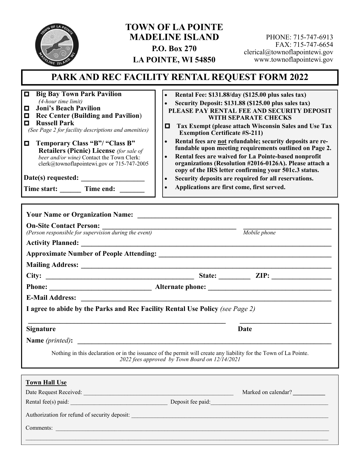

## **TOWN OF LA POINTE MADELINE ISLAND P.O. Box 270 LA POINTE, WI 54850**

PHONE: 715-747-6913 FAX: 715-747-6654 clerical@townoflapointewi.gov www.townoflapointewi.gov

# **PARK AND REC FACILITY RENTAL REQUEST FORM 2022**

**Big Bay Town Park Pavilion**  *(4-hour time limit)*

- **Joni's Beach Pavilion**
- **Rec Center (Building and Pavilion)**
- **Russell Park**

*(See Page 2 for facility descriptions and amenities)* 

**Temporary Class "B"/ "Class B" Retailers (Picnic) License** *(for sale of beer and/or wine)* Contact the Town Clerk: clerk@townoflapointewi.gov or 715-747-2005

**Date(s) requested: \_\_\_\_\_\_\_\_\_\_\_\_\_\_\_\_\_\_** 

**Time start:** \_\_\_\_\_\_\_\_ Time end: \_

- **Rental Fee: \$131.88/day (\$125.00 plus sales tax)**
- **Security Deposit: \$131.88 (\$125.00 plus sales tax)**
- **PLEASE PAY RENTAL FEE AND SECURITY DEPOSIT WITH SEPARATE CHECKS**
- **Tax Exempt (please attach Wisconsin Sales and Use Tax Exemption Certificate #S-211)**
- **•** Rental fees are not refundable; security deposits are re**fundable upon meeting requirements outlined on Page 2.**
- **Rental fees are waived for La Pointe-based nonprofit organizations (Resolution #2016-0126A). Please attach a copy of the IRS letter confirming your 501c.3 status.**
- **Security deposits are required for all reservations.**
- **Applications are first come, first served.**

|                      | <b>On-Site Contact Person:</b><br>(Person responsible for supervision during the event)                                                                             |
|----------------------|---------------------------------------------------------------------------------------------------------------------------------------------------------------------|
|                      | Mobile phone                                                                                                                                                        |
|                      |                                                                                                                                                                     |
|                      |                                                                                                                                                                     |
|                      |                                                                                                                                                                     |
|                      |                                                                                                                                                                     |
|                      |                                                                                                                                                                     |
|                      |                                                                                                                                                                     |
|                      |                                                                                                                                                                     |
|                      | I agree to abide by the Parks and Rec Facility Rental Use Policy (see Page 2)                                                                                       |
| <b>Signature</b>     | Date                                                                                                                                                                |
|                      |                                                                                                                                                                     |
|                      | Nothing in this declaration or in the issuance of the permit will create any liability for the Town of La Pointe.<br>2022 fees approved by Town Board on 12/14/2021 |
| <b>Town Hall Use</b> |                                                                                                                                                                     |
|                      | Marked on calendar?                                                                                                                                                 |
|                      |                                                                                                                                                                     |
|                      |                                                                                                                                                                     |